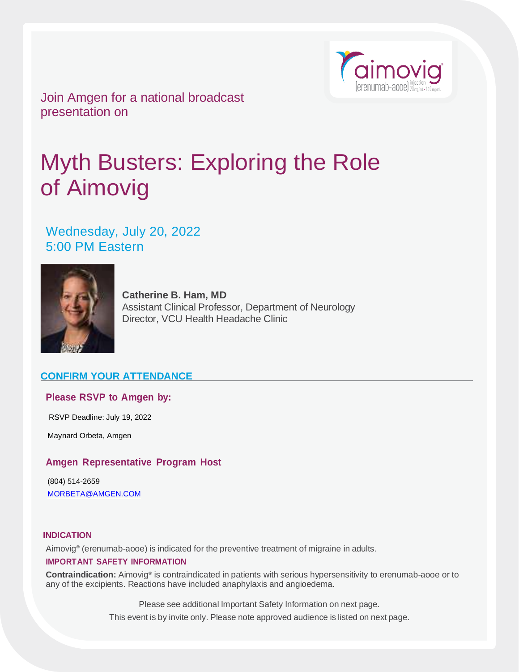

Join Amgen for a national broadcast presentation on

# Myth Busters: Exploring the Role of Aimovig

Wednesday, July 20, 2022 5:00 PM Eastern



**Catherine B. Ham, MD** Assistant Clinical Professor, Department of Neurology Director, VCU Health Headache Clinic

# **CONFIRM YOUR ATTENDANCE**

## **Please RSVP to Amgen by:**

RSVP Deadline: July 19, 2022

Maynard Orbeta, Amgen

# **Amgen Representative Program Host**

(804) 514-2659 [MORBETA@AMGEN.COM](mailto:MORBETA@AMGEN.COM)

#### **INDICATION**

Aimovig® (erenumab-aooe) is indicated for the preventive treatment of migraine in adults.

### **IMPORTANT SAFETY INFORMATION**

Contraindication: Aimovig<sup>®</sup> is contraindicated in patients with serious hypersensitivity to erenumab-aooe or to any of the excipients. Reactions have included anaphylaxis and angioedema.

Please see additional Important Safety Information on next page.

This event is by invite only. Please note approved audience is listed on next page.